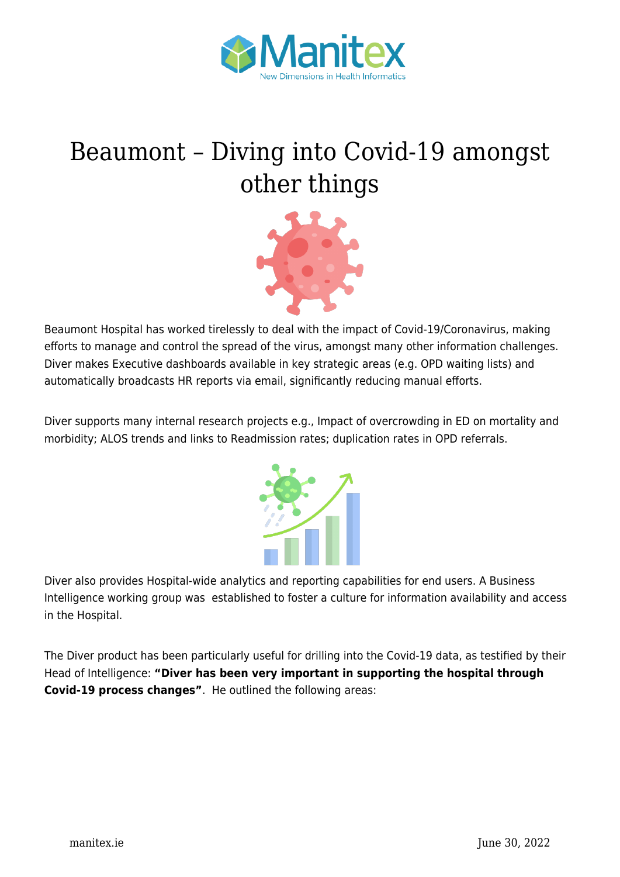

## [Beaumont – Diving into Covid-19 amongst](https://manitex.ie/news/beaumont-diving-into-covid-19-amongst-other-things/) [other things](https://manitex.ie/news/beaumont-diving-into-covid-19-amongst-other-things/)



Beaumont Hospital has worked tirelessly to deal with the impact of Covid-19/Coronavirus, making efforts to manage and control the spread of the virus, amongst many other information challenges. Diver makes Executive dashboards available in key strategic areas (e.g. OPD waiting lists) and automatically broadcasts HR reports via email, significantly reducing manual efforts.

Diver supports many internal research projects e.g., Impact of overcrowding in ED on mortality and morbidity; ALOS trends and links to Readmission rates; duplication rates in OPD referrals.



Diver also provides Hospital-wide analytics and reporting capabilities for end users. A Business Intelligence working group was established to foster a culture for information availability and access in the Hospital.

The Diver product has been particularly useful for drilling into the Covid-19 data, as testified by their Head of Intelligence: **"Diver has been very important in supporting the hospital through Covid-19 process changes"**. He outlined the following areas: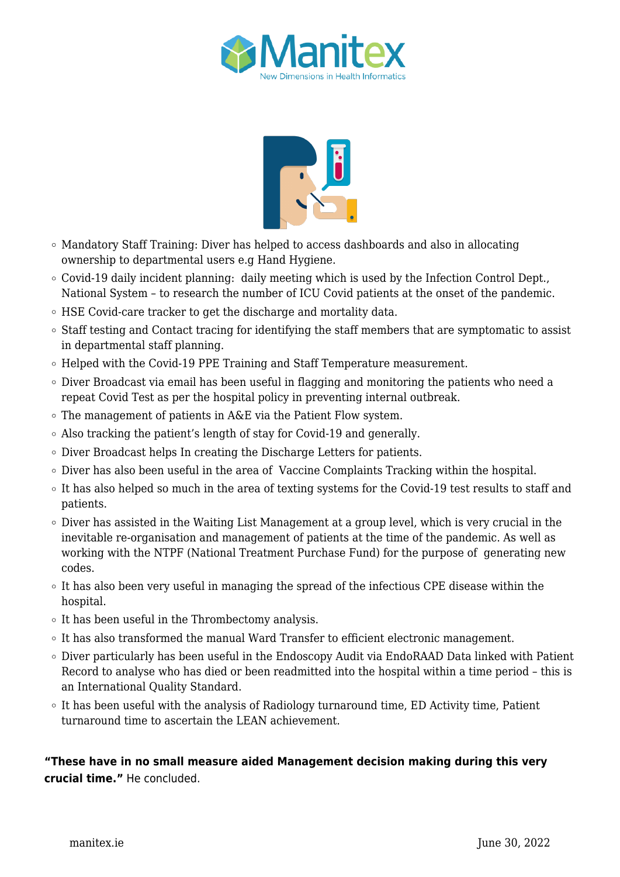



- Mandatory Staff Training: Diver has helped to access dashboards and also in allocating ownership to departmental users e.g Hand Hygiene.
- $\circ$  Covid-19 daily incident planning: daily meeting which is used by the Infection Control Dept., National System – to research the number of ICU Covid patients at the onset of the pandemic.
- HSE Covid-care tracker to get the discharge and mortality data.
- $\circ$  Staff testing and Contact tracing for identifying the staff members that are symptomatic to assist in departmental staff planning.
- Helped with the Covid-19 PPE Training and Staff Temperature measurement.
- $\circ$  Diver Broadcast via email has been useful in flagging and monitoring the patients who need a repeat Covid Test as per the hospital policy in preventing internal outbreak.
- $\circ$  The management of patients in A&E via the Patient Flow system.
- Also tracking the patient's length of stay for Covid-19 and generally.
- Diver Broadcast helps In creating the Discharge Letters for patients.
- Diver has also been useful in the area of Vaccine Complaints Tracking within the hospital.
- $\circ$  It has also helped so much in the area of texting systems for the Covid-19 test results to staff and patients.
- $\circ$  Diver has assisted in the Waiting List Management at a group level, which is very crucial in the inevitable re-organisation and management of patients at the time of the pandemic. As well as working with the NTPF (National Treatment Purchase Fund) for the purpose of generating new codes.
- $\circ$  It has also been very useful in managing the spread of the infectious CPE disease within the hospital.
- $\circ$  It has been useful in the Thrombectomy analysis.
- $\circ$  It has also transformed the manual Ward Transfer to efficient electronic management.
- $\circ$  Diver particularly has been useful in the Endoscopy Audit via EndoRAAD Data linked with Patient Record to analyse who has died or been readmitted into the hospital within a time period – this is an International Quality Standard.
- $\circ$  It has been useful with the analysis of Radiology turnaround time, ED Activity time, Patient turnaround time to ascertain the LEAN achievement.

## **"These have in no small measure aided Management decision making during this very crucial time."** He concluded.